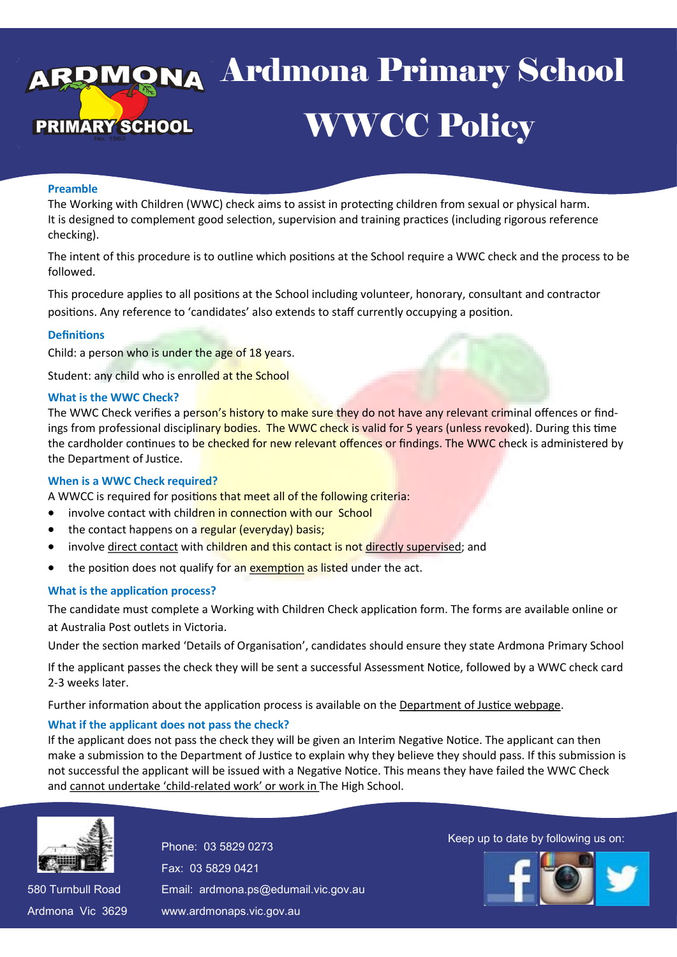# ya Ardmona Pri E WWCC Policy 13 April 2016 Ardmona Primary School

## **Preamble**

The Working with Children (WWC) check aims to assist in protecting children from sexual or physical harm. It is designed to complement good selection, supervision and training practices (including rigorous reference checking).

The intent of this procedure is to outline which positions at the School require a WWC check and the process to be followed.

This procedure applies to all positions at the School including volunteer, honorary, consultant and contractor positions. Any reference to 'candidates' also extends to staff currently occupying a position.

#### **Definitions**

Child: a person who is under the age of 18 years.

Student: any child who is enrolled at the School

#### **What is the WWC Check?**

The WWC Check verifies a person's history to make sure they do not have any relevant criminal offences or findings from professional disciplinary bodies. The WWC check is valid for 5 years (unless revoked). During this time the cardholder continues to be checked for new relevant offences or findings. The WWC check is administered by the Department of Justice.

#### **When is a WWC Check required?**

A WWCC is required for positions that meet all of the following criteria:

- involve contact with children in connection with our School
- the contact happens on a regular (everyday) basis;
- involve [direct contact](http://www.justice.vic.gov.au/wps/wcm/connect/Working+With+Children/Home/Application+Process/Who+Needs+to+Apply/) with children and this contact is not [directly supervised;](http://www.justice.vic.gov.au/wps/wcm/connect/Working+With+Children/Home/Application+Process/Who+Needs+to+Apply/) and
- the position does not qualify for an [exemption](http://www.justice.vic.gov.au/wps/wcm/connect/Working+With+Children/Home/Application+Process/Who+Needs+to+Apply/WWCC+-+Exemptions+from+Applying+for+a+Check) as listed under the act.

## **What is the application process?**

The candidate must complete a Working with Children Check application form. The forms are available online or at Australia Post outlets in Victoria.

Under the section marked 'Details of Organisation', candidates should ensure they state Ardmona Primary School

If the applicant passes the check they will be sent a successful Assessment Notice, followed by a WWC check card 2-3 weeks later.

Further information about the application process is available on the [Department of Justice webpage.](https://online.justice.vic.gov.au/wwc/wwc-online-check)

## **What if the applicant does not pass the check?**

If the applicant does not pass the check they will be given an Interim Negative Notice. The applicant can then make a submission to the Department of Justice to explain why they believe they should pass. If this submission is not successful the applicant will be issued with a Negative Notice. This means they have failed the WWC Check and cannot undertake 'child-related work' or work in The High School.



580 Turnbull Road 580 Turnbull Road Ardmona Vic 3629 Ardmona Vic 3629 Fax: 03 5829 0421 Fax: 03 5829 0421 Email: ardmona.ps@edumail.vic.gov.au Email: ardmona.ps@edumail.vic.gov.au www.ardmonaps.vic.gov.au www.ardmonaps.vic.gov.au

Thone: 03 5829 0273<br>Phone: 03 5829 0273